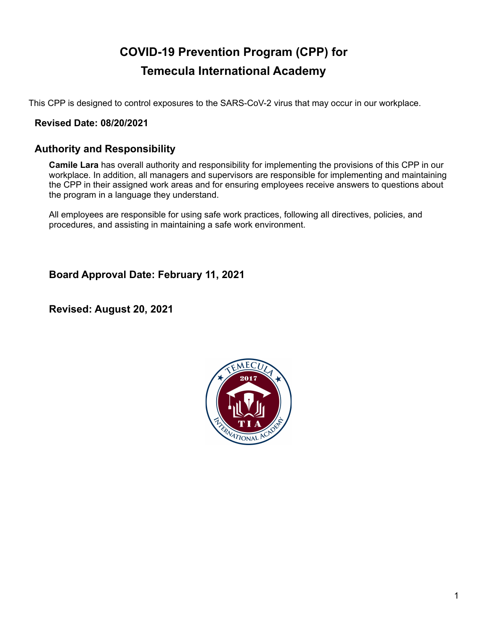# **COVID-19 Prevention Program (CPP) for Temecula International Academy**

This CPP is designed to control exposures to the SARS-CoV-2 virus that may occur in our workplace.

### **Revised Date: 08/20/2021**

### **Authority and Responsibility**

**Camile Lara** has overall authority and responsibility for implementing the provisions of this CPP in our workplace. In addition, all managers and supervisors are responsible for implementing and maintaining the CPP in their assigned work areas and for ensuring employees receive answers to questions about the program in a language they understand.

All employees are responsible for using safe work practices, following all directives, policies, and procedures, and assisting in maintaining a safe work environment.

**Board Approval Date: February 11, 2021**

**Revised: August 20, 2021**

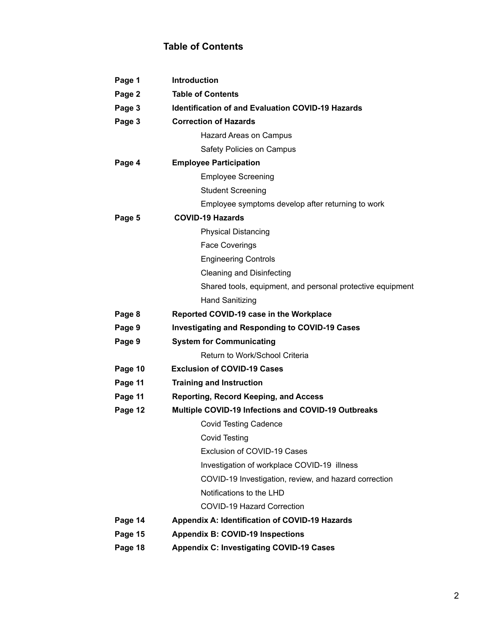# **Table of Contents**

| Page 1  | <b>Introduction</b>                                        |  |  |
|---------|------------------------------------------------------------|--|--|
| Page 2  | <b>Table of Contents</b>                                   |  |  |
| Page 3  | <b>Identification of and Evaluation COVID-19 Hazards</b>   |  |  |
| Page 3  | <b>Correction of Hazards</b>                               |  |  |
|         | Hazard Areas on Campus                                     |  |  |
|         | Safety Policies on Campus                                  |  |  |
| Page 4  | <b>Employee Participation</b>                              |  |  |
|         | <b>Employee Screening</b>                                  |  |  |
|         | <b>Student Screening</b>                                   |  |  |
|         | Employee symptoms develop after returning to work          |  |  |
| Page 5  | <b>COVID-19 Hazards</b>                                    |  |  |
|         | <b>Physical Distancing</b>                                 |  |  |
|         | <b>Face Coverings</b>                                      |  |  |
|         | <b>Engineering Controls</b>                                |  |  |
|         | <b>Cleaning and Disinfecting</b>                           |  |  |
|         | Shared tools, equipment, and personal protective equipment |  |  |
|         | <b>Hand Sanitizing</b>                                     |  |  |
| Page 8  | Reported COVID-19 case in the Workplace                    |  |  |
| Page 9  | <b>Investigating and Responding to COVID-19 Cases</b>      |  |  |
| Page 9  | <b>System for Communicating</b>                            |  |  |
|         | Return to Work/School Criteria                             |  |  |
| Page 10 | <b>Exclusion of COVID-19 Cases</b>                         |  |  |
| Page 11 | <b>Training and Instruction</b>                            |  |  |
| Page 11 | <b>Reporting, Record Keeping, and Access</b>               |  |  |
| Page 12 | <b>Multiple COVID-19 Infections and COVID-19 Outbreaks</b> |  |  |
|         | <b>Covid Testing Cadence</b>                               |  |  |
|         | <b>Covid Testing</b>                                       |  |  |
|         | Exclusion of COVID-19 Cases                                |  |  |
|         | Investigation of workplace COVID-19 illness                |  |  |
|         | COVID-19 Investigation, review, and hazard correction      |  |  |
|         | Notifications to the LHD                                   |  |  |
|         | <b>COVID-19 Hazard Correction</b>                          |  |  |
| Page 14 | Appendix A: Identification of COVID-19 Hazards             |  |  |
| Page 15 | <b>Appendix B: COVID-19 Inspections</b>                    |  |  |
| Page 18 | <b>Appendix C: Investigating COVID-19 Cases</b>            |  |  |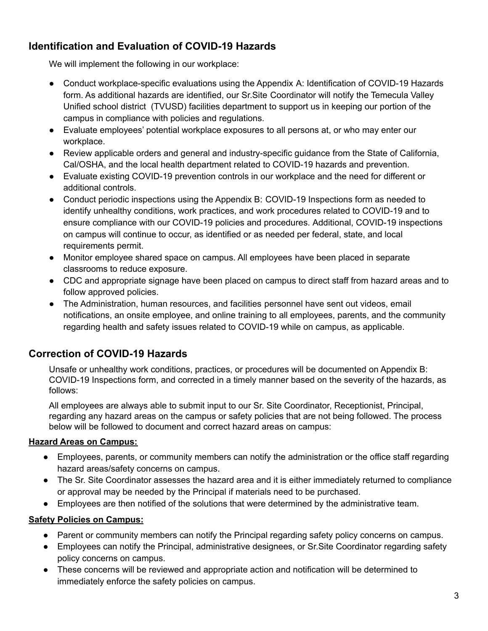# **Identification and Evaluation of COVID-19 Hazards**

We will implement the following in our workplace:

- Conduct workplace-specific evaluations using the Appendix A: Identification of COVID-19 Hazards form. As additional hazards are identified, our Sr.Site Coordinator will notify the Temecula Valley Unified school district (TVUSD) facilities department to support us in keeping our portion of the campus in compliance with policies and regulations.
- Evaluate employees' potential workplace exposures to all persons at, or who may enter our workplace.
- Review applicable orders and general and industry-specific guidance from the State of California, Cal/OSHA, and the local health department related to COVID-19 hazards and prevention.
- Evaluate existing COVID-19 prevention controls in our workplace and the need for different or additional controls.
- Conduct periodic inspections using the Appendix B: COVID-19 Inspections form as needed to identify unhealthy conditions, work practices, and work procedures related to COVID-19 and to ensure compliance with our COVID-19 policies and procedures. Additional, COVID-19 inspections on campus will continue to occur, as identified or as needed per federal, state, and local requirements permit.
- Monitor employee shared space on campus. All employees have been placed in separate classrooms to reduce exposure.
- CDC and appropriate signage have been placed on campus to direct staff from hazard areas and to follow approved policies.
- The Administration, human resources, and facilities personnel have sent out videos, email notifications, an onsite employee, and online training to all employees, parents, and the community regarding health and safety issues related to COVID-19 while on campus, as applicable.

### **Correction of COVID-19 Hazards**

Unsafe or unhealthy work conditions, practices, or procedures will be documented on Appendix B: COVID-19 Inspections form, and corrected in a timely manner based on the severity of the hazards, as follows:

All employees are always able to submit input to our Sr. Site Coordinator, Receptionist, Principal, regarding any hazard areas on the campus or safety policies that are not being followed. The process below will be followed to document and correct hazard areas on campus:

### **Hazard Areas on Campus:**

- Employees, parents, or community members can notify the administration or the office staff regarding hazard areas/safety concerns on campus.
- The Sr. Site Coordinator assesses the hazard area and it is either immediately returned to compliance or approval may be needed by the Principal if materials need to be purchased.
- Employees are then notified of the solutions that were determined by the administrative team.

### **Safety Policies on Campus:**

- Parent or community members can notify the Principal regarding safety policy concerns on campus.
- Employees can notify the Principal, administrative designees, or Sr.Site Coordinator regarding safety policy concerns on campus.
- These concerns will be reviewed and appropriate action and notification will be determined to immediately enforce the safety policies on campus.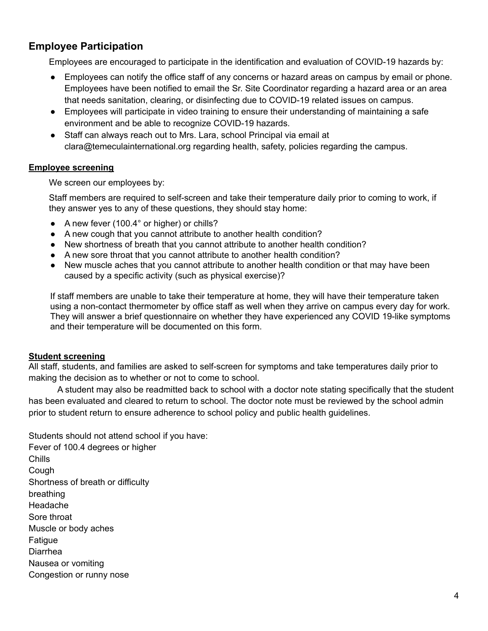### **Employee Participation**

Employees are encouraged to participate in the identification and evaluation of COVID-19 hazards by:

- Employees can notify the office staff of any concerns or hazard areas on campus by email or phone. Employees have been notified to email the Sr. Site Coordinator regarding a hazard area or an area that needs sanitation, clearing, or disinfecting due to COVID-19 related issues on campus.
- Employees will participate in video training to ensure their understanding of maintaining a safe environment and be able to recognize COVID-19 hazards.
- Staff can always reach out to Mrs. Lara, school Principal via email at clara@temeculainternational.org regarding health, safety, policies regarding the campus.

#### **Employee screening**

We screen our employees by:

Staff members are required to self-screen and take their temperature daily prior to coming to work, if they answer yes to any of these questions, they should stay home:

- A new fever (100.4° or higher) or chills?
- A new cough that you cannot attribute to another health condition?
- New shortness of breath that you cannot attribute to another health condition?
- A new sore throat that you cannot attribute to another health condition?
- New muscle aches that you cannot attribute to another health condition or that may have been caused by a specific activity (such as physical exercise)?

If staff members are unable to take their temperature at home, they will have their temperature taken using a non-contact thermometer by office staff as well when they arrive on campus every day for work. They will answer a brief questionnaire on whether they have experienced any COVID 19-like symptoms and their temperature will be documented on this form.

#### **Student screening**

All staff, students, and families are asked to self-screen for symptoms and take temperatures daily prior to making the decision as to whether or not to come to school.

A student may also be readmitted back to school with a doctor note stating specifically that the student has been evaluated and cleared to return to school. The doctor note must be reviewed by the school admin prior to student return to ensure adherence to school policy and public health guidelines.

Students should not attend school if you have: Fever of 100.4 degrees or higher Chills Cough Shortness of breath or difficulty breathing Headache Sore throat Muscle or body aches Fatigue Diarrhea Nausea or vomiting Congestion or runny nose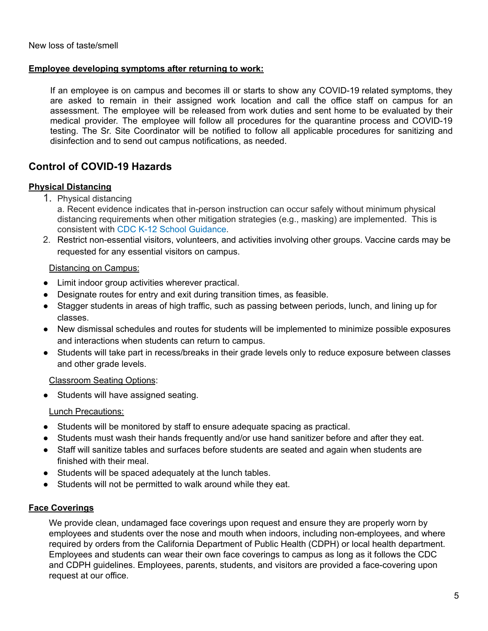#### **Employee developing symptoms after returning to work:**

If an employee is on campus and becomes ill or starts to show any COVID-19 related symptoms, they are asked to remain in their assigned work location and call the office staff on campus for an assessment. The employee will be released from work duties and sent home to be evaluated by their medical provider. The employee will follow all procedures for the quarantine process and COVID-19 testing. The Sr. Site Coordinator will be notified to follow all applicable procedures for sanitizing and disinfection and to send out campus notifications, as needed.

### **Control of COVID-19 Hazards**

#### **Physical Distancing**

- 1. Physical distancing
	- a. Recent evidence indicates that in-person instruction can occur safely without minimum physical distancing requirements when other mitigation strategies (e.g., masking) are implemented. This is consistent with CDC K-12 School [Guidance](https://www.cdc.gov/coronavirus/2019-ncov/community/schools-childcare/k-12-guidance.html).
- 2. Restrict non-essential visitors, volunteers, and activities involving other groups. Vaccine cards may be requested for any essential visitors on campus.

#### Distancing on Campus:

- Limit indoor group activities wherever practical.
- Designate routes for entry and exit during transition times, as feasible.
- Stagger students in areas of high traffic, such as passing between periods, lunch, and lining up for classes.
- New dismissal schedules and routes for students will be implemented to minimize possible exposures and interactions when students can return to campus.
- Students will take part in recess/breaks in their grade levels only to reduce exposure between classes and other grade levels.

#### Classroom Seating Options:

● Students will have assigned seating.

#### Lunch Precautions:

- Students will be monitored by staff to ensure adequate spacing as practical.
- Students must wash their hands frequently and/or use hand sanitizer before and after they eat.
- Staff will sanitize tables and surfaces before students are seated and again when students are finished with their meal.
- Students will be spaced adequately at the lunch tables.
- Students will not be permitted to walk around while they eat.

#### **Face Coverings**

We provide clean, undamaged face coverings upon request and ensure they are properly worn by employees and students over the nose and mouth when indoors, including non-employees, and where required by orders from the California Department of Public Health (CDPH) or local health department. Employees and students can wear their own face coverings to campus as long as it follows the CDC and CDPH guidelines. Employees, parents, students, and visitors are provided a face-covering upon request at our office.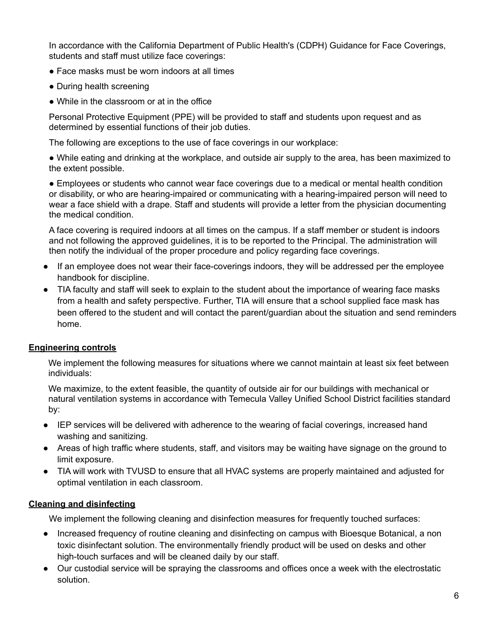In accordance with the California Department of Public Health's (CDPH) Guidance for Face Coverings, students and staff must utilize face coverings:

- Face masks must be worn indoors at all times
- During health screening
- While in the classroom or at in the office

Personal Protective Equipment (PPE) will be provided to staff and students upon request and as determined by essential functions of their job duties.

The following are exceptions to the use of face coverings in our workplace:

● While eating and drinking at the workplace, and outside air supply to the area, has been maximized to the extent possible.

● Employees or students who cannot wear face coverings due to a medical or mental health condition or disability, or who are hearing-impaired or communicating with a hearing-impaired person will need to wear a face shield with a drape. Staff and students will provide a letter from the physician documenting the medical condition.

A face covering is required indoors at all times on the campus. If a staff member or student is indoors and not following the approved guidelines, it is to be reported to the Principal. The administration will then notify the individual of the proper procedure and policy regarding face coverings.

- If an employee does not wear their face-coverings indoors, they will be addressed per the employee handbook for discipline.
- TIA faculty and staff will seek to explain to the student about the importance of wearing face masks from a health and safety perspective. Further, TIA will ensure that a school supplied face mask has been offered to the student and will contact the parent/guardian about the situation and send reminders home.

### **Engineering controls**

We implement the following measures for situations where we cannot maintain at least six feet between individuals:

We maximize, to the extent feasible, the quantity of outside air for our buildings with mechanical or natural ventilation systems in accordance with Temecula Valley Unified School District facilities standard by:

- IEP services will be delivered with adherence to the wearing of facial coverings, increased hand washing and sanitizing.
- Areas of high traffic where students, staff, and visitors may be waiting have signage on the ground to limit exposure.
- TIA will work with TVUSD to ensure that all HVAC systems are properly maintained and adjusted for optimal ventilation in each classroom.

### **Cleaning and disinfecting**

We implement the following cleaning and disinfection measures for frequently touched surfaces:

- Increased frequency of routine cleaning and disinfecting on campus with Bioesque Botanical, a non toxic disinfectant solution. The environmentally friendly product will be used on desks and other high-touch surfaces and will be cleaned daily by our staff.
- Our custodial service will be spraying the classrooms and offices once a week with the electrostatic solution.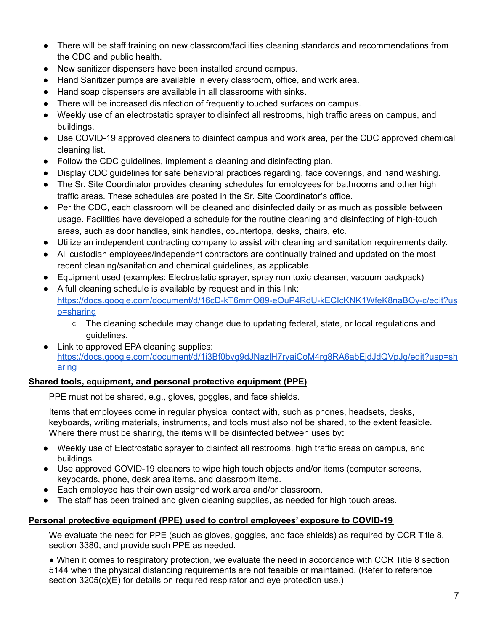- There will be staff training on new classroom/facilities cleaning standards and recommendations from the CDC and public health.
- New sanitizer dispensers have been installed around campus.
- Hand Sanitizer pumps are available in every classroom, office, and work area.
- Hand soap dispensers are available in all classrooms with sinks.
- There will be increased disinfection of frequently touched surfaces on campus.
- Weekly use of an electrostatic sprayer to disinfect all restrooms, high traffic areas on campus, and buildings.
- Use COVID-19 approved cleaners to disinfect campus and work area, per the CDC approved chemical cleaning list.
- Follow the CDC guidelines, implement a cleaning and disinfecting plan.
- Display CDC quidelines for safe behavioral practices regarding, face coverings, and hand washing.
- The Sr. Site Coordinator provides cleaning schedules for employees for bathrooms and other high traffic areas. These schedules are posted in the Sr. Site Coordinator's office.
- Per the CDC, each classroom will be cleaned and disinfected daily or as much as possible between usage. Facilities have developed a schedule for the routine cleaning and disinfecting of high-touch areas, such as door handles, sink handles, countertops, desks, chairs, etc.
- Utilize an independent contracting company to assist with cleaning and sanitation requirements daily.
- All custodian employees/independent contractors are continually trained and updated on the most recent cleaning/sanitation and chemical guidelines, as applicable.
- Equipment used (examples: Electrostatic sprayer, spray non toxic cleanser, vacuum backpack)
- A full cleaning schedule is available by request and in this link: [https://docs.google.com/document/d/16cD-kT6mmO89-eOuP4RdU-kECIcKNK1WfeK8naBOy-c/edit?us](https://docs.google.com/document/d/16cD-kT6mmO89-eOuP4RdU-kECIcKNK1WfeK8naBOy-c/edit?usp=sharing) [p=sharing](https://docs.google.com/document/d/16cD-kT6mmO89-eOuP4RdU-kECIcKNK1WfeK8naBOy-c/edit?usp=sharing)
	- The cleaning schedule may change due to updating federal, state, or local regulations and guidelines.
- Link to approved EPA cleaning supplies: [https://docs.google.com/document/d/1i3Bf0bvg9dJNazlH7ryaiCoM4rg8RA6abEjdJdQVpJg/edit?usp=sh](https://docs.google.com/document/d/1i3Bf0bvg9dJNazlH7ryaiCoM4rg8RA6abEjdJdQVpJg/edit?usp=sharing) [aring](https://docs.google.com/document/d/1i3Bf0bvg9dJNazlH7ryaiCoM4rg8RA6abEjdJdQVpJg/edit?usp=sharing)

### **Shared tools, equipment, and personal protective equipment (PPE)**

PPE must not be shared, e.g., gloves, goggles, and face shields.

Items that employees come in regular physical contact with, such as phones, headsets, desks, keyboards, writing materials, instruments, and tools must also not be shared, to the extent feasible. Where there must be sharing, the items will be disinfected between uses by**:**

- Weekly use of Electrostatic sprayer to disinfect all restrooms, high traffic areas on campus, and buildings.
- Use approved COVID-19 cleaners to wipe high touch objects and/or items (computer screens, keyboards, phone, desk area items, and classroom items.
- Each employee has their own assigned work area and/or classroom.
- The staff has been trained and given cleaning supplies, as needed for high touch areas.

### **Personal protective equipment (PPE) used to control employees' exposure to COVID-19**

We evaluate the need for PPE (such as gloves, goggles, and face shields) as required by CCR Title 8, section 3380, and provide such PPE as needed.

● When it comes to respiratory protection, we evaluate the need in accordance with CCR Title 8 section 5144 when the physical distancing requirements are not feasible or maintained. (Refer to reference section 3205(c)(E) for details on required respirator and eye protection use.)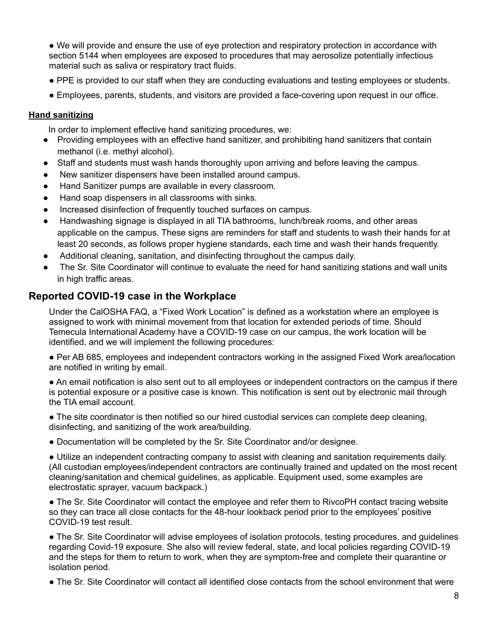● We will provide and ensure the use of eye protection and respiratory protection in accordance with section 5144 when employees are exposed to procedures that may aerosolize potentially infectious material such as saliva or respiratory tract fluids.

- PPE is provided to our staff when they are conducting evaluations and testing employees or students.
- Employees, parents, students, and visitors are provided a face-covering upon request in our office.

#### **Hand sanitizing**

In order to implement effective hand sanitizing procedures, we:

- Providing employees with an effective hand sanitizer, and prohibiting hand sanitizers that contain methanol (i.e. methyl alcohol).
- Staff and students must wash hands thoroughly upon arriving and before leaving the campus.
- New sanitizer dispensers have been installed around campus.
- Hand Sanitizer pumps are available in every classroom.
- Hand soap dispensers in all classrooms with sinks.
- Increased disinfection of frequently touched surfaces on campus.
- Handwashing signage is displayed in all TIA bathrooms, lunch/break rooms, and other areas applicable on the campus. These signs are reminders for staff and students to wash their hands for at least 20 seconds, as follows proper hygiene standards, each time and wash their hands frequently.
- Additional cleaning, sanitation, and disinfecting throughout the campus daily.
- The Sr. Site Coordinator will continue to evaluate the need for hand sanitizing stations and wall units in high traffic areas.

### **Reported COVID-19 case in the Workplace**

Under the CalOSHA FAQ, a "Fixed Work Location" is defined as a workstation where an employee is assigned to work with minimal movement from that location for extended periods of time. Should Temecula International Academy have a COVID-19 case on our campus, the work location will be identified, and we will implement the following procedures:

● Per AB 685, employees and independent contractors working in the assigned Fixed Work area/location are notified in writing by email.

● An email notification is also sent out to all employees or independent contractors on the campus if there is potential exposure or a positive case is known. This notification is sent out by electronic mail through the TIA email account.

• The site coordinator is then notified so our hired custodial services can complete deep cleaning, disinfecting, and sanitizing of the work area/building.

● Documentation will be completed by the Sr. Site Coordinator and/or designee.

● Utilize an independent contracting company to assist with cleaning and sanitation requirements daily. (All custodian employees/independent contractors are continually trained and updated on the most recent cleaning/sanitation and chemical guidelines, as applicable. Equipment used, some examples are electrostatic sprayer, vacuum backpack.)

• The Sr. Site Coordinator will contact the employee and refer them to RivcoPH contact tracing website so they can trace all close contacts for the 48-hour lookback period prior to the employees' positive COVID-19 test result.

• The Sr. Site Coordinator will advise employees of isolation protocols, testing procedures, and guidelines regarding Covid-19 exposure. She also will review federal, state, and local policies regarding COVID-19 and the steps for them to return to work, when they are symptom-free and complete their quarantine or isolation period.

● The Sr. Site Coordinator will contact all identified close contacts from the school environment that were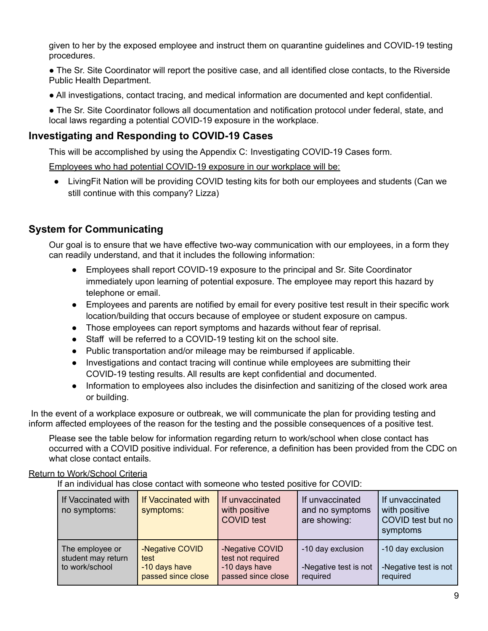given to her by the exposed employee and instruct them on quarantine guidelines and COVID-19 testing procedures.

- The Sr. Site Coordinator will report the positive case, and all identified close contacts, to the Riverside Public Health Department.
- All investigations, contact tracing, and medical information are documented and kept confidential.

● The Sr. Site Coordinator follows all documentation and notification protocol under federal, state, and local laws regarding a potential COVID-19 exposure in the workplace.

### **Investigating and Responding to COVID-19 Cases**

This will be accomplished by using the Appendix C: Investigating COVID-19 Cases form.

Employees who had potential COVID-19 exposure in our workplace will be:

● LivingFit Nation will be providing COVID testing kits for both our employees and students (Can we still continue with this company? Lizza)

### **System for Communicating**

Our goal is to ensure that we have effective two-way communication with our employees, in a form they can readily understand, and that it includes the following information:

- Employees shall report COVID-19 exposure to the principal and Sr. Site Coordinator immediately upon learning of potential exposure. The employee may report this hazard by telephone or email.
- Employees and parents are notified by email for every positive test result in their specific work location/building that occurs because of employee or student exposure on campus.
- Those employees can report symptoms and hazards without fear of reprisal.
- Staff will be referred to a COVID-19 testing kit on the school site.
- Public transportation and/or mileage may be reimbursed if applicable.
- Investigations and contact tracing will continue while employees are submitting their COVID-19 testing results. All results are kept confidential and documented.
- Information to employees also includes the disinfection and sanitizing of the closed work area or building.

In the event of a workplace exposure or outbreak, we will communicate the plan for providing testing and inform affected employees of the reason for the testing and the possible consequences of a positive test.

Please see the table below for information regarding return to work/school when close contact has occurred with a COVID positive individual. For reference, a definition has been provided from the CDC on what close contact entails.

### Return to Work/School Criteria

If an individual has close contact with someone who tested positive for COVID:

| If Vaccinated with<br>no symptoms:                      | If Vaccinated with<br>symptoms:                                | If unvaccinated<br>with positive<br><b>COVID test</b>                       | If unvaccinated<br>and no symptoms<br>are showing:     | If unvaccinated<br>with positive<br>COVID test but no<br>symptoms |
|---------------------------------------------------------|----------------------------------------------------------------|-----------------------------------------------------------------------------|--------------------------------------------------------|-------------------------------------------------------------------|
| The employee or<br>student may return<br>to work/school | -Negative COVID<br>test<br>-10 days have<br>passed since close | -Negative COVID<br>test not required<br>-10 days have<br>passed since close | -10 day exclusion<br>-Negative test is not<br>required | -10 day exclusion<br>-Negative test is not<br>required            |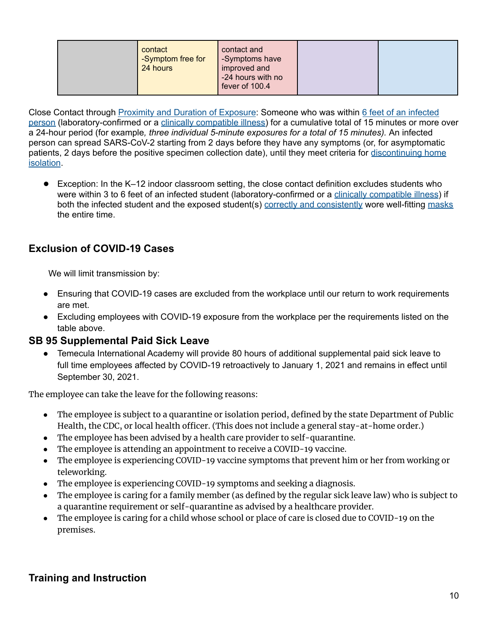Close Contact through Proximity and Duration of [Exposure](https://www.cdc.gov/coronavirus/2019-ncov/science/science-briefs/sars-cov-2-transmission.html): Someone who was within 6 feet of an [infected](https://www.cdc.gov/coronavirus/2019-ncov/prevent-getting-sick/prevention.html#stay6ft) [person](https://www.cdc.gov/coronavirus/2019-ncov/prevent-getting-sick/prevention.html#stay6ft) (laboratory-confirmed or a clinically [compatible](https://www.cdc.gov/coronavirus/2019-ncov/hcp/clinical-guidance-management-patients.html) illness) for a cumulative total of 15 minutes or more over a 24-hour period (for example*, three individual 5-minute exposures for a total of 15 minutes).* An infected person can spread SARS-CoV-2 starting from 2 days before they have any symptoms (or, for asymptomatic patients, 2 days before the positive specimen collection date), until they meet criteria for [discontinuing](https://www.cdc.gov/coronavirus/2019-ncov/hcp/duration-isolation.html) home [isolation](https://www.cdc.gov/coronavirus/2019-ncov/hcp/duration-isolation.html).

● Exception: In the K–12 indoor classroom setting, the close contact definition excludes students who were within 3 to 6 feet of an infected student (laboratory-confirmed or a clinically [compatible](https://www.cdc.gov/coronavirus/2019-ncov/hcp/clinical-guidance-management-patients.html) illness) if both the infected student and the exposed student(s) correctly and [consistently](https://www.cdc.gov/coronavirus/2019-ncov/your-health/effective-masks.html) wore well-fitting [masks](https://www.cdc.gov/coronavirus/2019-ncov/community/schools-childcare/cloth-face-cover.html) the entire time.

# **Exclusion of COVID-19 Cases**

We will limit transmission by:

- Ensuring that COVID-19 cases are excluded from the workplace until our return to work requirements are met.
- Excluding employees with COVID-19 exposure from the workplace per the requirements listed on the table above.

### **SB 95 Supplemental Paid Sick Leave**

● Temecula International Academy will provide 80 hours of additional supplemental paid sick leave to full time employees affected by COVID-19 retroactively to January 1, 2021 and remains in effect until September 30, 2021.

The employee can take the leave for the following reasons:

- The employee is subject to a quarantine or isolation period, defined by the state Department of Public Health, the CDC, or local health officer. (This does not include a general stay-at-home order.)
- The employee has been advised by a health care provider to self-quarantine.
- The employee is attending an appointment to receive a COVID-19 vaccine.
- The employee is experiencing COVID-19 vaccine symptoms that prevent him or her from working or teleworking.
- The employee is experiencing COVID-19 symptoms and seeking a diagnosis.
- The employee is caring for a family member (as defined by the regular sick leave law) who is subject to a quarantine requirement or self-quarantine as advised by a healthcare provider.
- The employee is caring for a child whose school or place of care is closed due to COVID-19 on the premises.

# **Training and Instruction**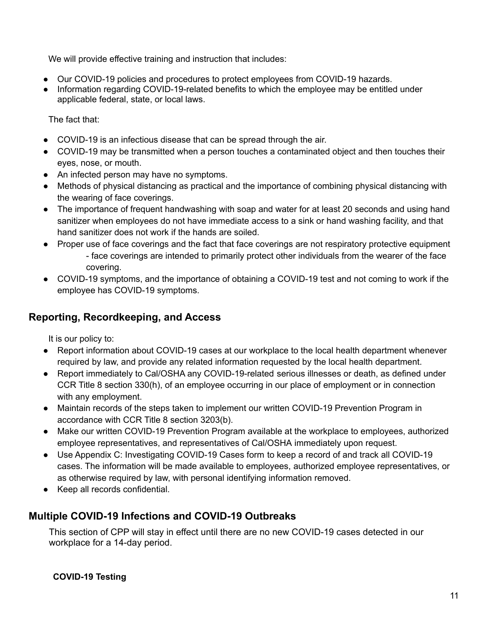We will provide effective training and instruction that includes:

- Our COVID-19 policies and procedures to protect employees from COVID-19 hazards.
- Information regarding COVID-19-related benefits to which the employee may be entitled under applicable federal, state, or local laws.

The fact that:

- COVID-19 is an infectious disease that can be spread through the air.
- COVID-19 may be transmitted when a person touches a contaminated object and then touches their eyes, nose, or mouth.
- An infected person may have no symptoms.
- Methods of physical distancing as practical and the importance of combining physical distancing with the wearing of face coverings.
- The importance of frequent handwashing with soap and water for at least 20 seconds and using hand sanitizer when employees do not have immediate access to a sink or hand washing facility, and that hand sanitizer does not work if the hands are soiled.
- Proper use of face coverings and the fact that face coverings are not respiratory protective equipment - face coverings are intended to primarily protect other individuals from the wearer of the face covering.
- COVID-19 symptoms, and the importance of obtaining a COVID-19 test and not coming to work if the employee has COVID-19 symptoms.

### **Reporting, Recordkeeping, and Access**

It is our policy to:

- Report information about COVID-19 cases at our workplace to the local health department whenever required by law, and provide any related information requested by the local health department.
- Report immediately to Cal/OSHA any COVID-19-related serious illnesses or death, as defined under CCR Title 8 section 330(h), of an employee occurring in our place of employment or in connection with any employment.
- Maintain records of the steps taken to implement our written COVID-19 Prevention Program in accordance with CCR Title 8 section 3203(b).
- Make our written COVID-19 Prevention Program available at the workplace to employees, authorized employee representatives, and representatives of Cal/OSHA immediately upon request.
- Use Appendix C: Investigating COVID-19 Cases form to keep a record of and track all COVID-19 cases. The information will be made available to employees, authorized employee representatives, or as otherwise required by law, with personal identifying information removed.
- Keep all records confidential.

### **Multiple COVID-19 Infections and COVID-19 Outbreaks**

This section of CPP will stay in effect until there are no new COVID-19 cases detected in our workplace for a 14-day period.

**COVID-19 Testing**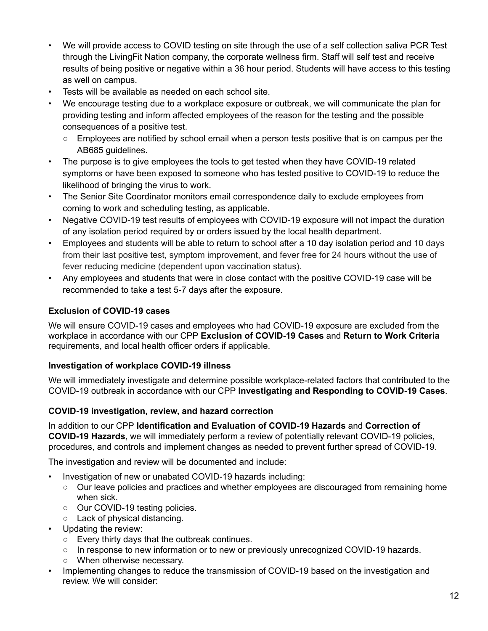- We will provide access to COVID testing on site through the use of a self collection saliva PCR Test through the LivingFit Nation company, the corporate wellness firm. Staff will self test and receive results of being positive or negative within a 36 hour period. Students will have access to this testing as well on campus.
- Tests will be available as needed on each school site.
- We encourage testing due to a workplace exposure or outbreak, we will communicate the plan for providing testing and inform affected employees of the reason for the testing and the possible consequences of a positive test.
	- $\circ$  Employees are notified by school email when a person tests positive that is on campus per the AB685 guidelines.
- The purpose is to give employees the tools to get tested when they have COVID-19 related symptoms or have been exposed to someone who has tested positive to COVID-19 to reduce the likelihood of bringing the virus to work.
- The Senior Site Coordinator monitors email correspondence daily to exclude employees from coming to work and scheduling testing, as applicable.
- Negative COVID-19 test results of employees with COVID-19 exposure will not impact the duration of any isolation period required by or orders issued by the local health department.
- Employees and students will be able to return to school after a 10 day isolation period and 10 days from their last positive test, symptom improvement, and fever free for 24 hours without the use of fever reducing medicine (dependent upon vaccination status).
- Any employees and students that were in close contact with the positive COVID-19 case will be recommended to take a test 5-7 days after the exposure.

### **Exclusion of COVID-19 cases**

We will ensure COVID-19 cases and employees who had COVID-19 exposure are excluded from the workplace in accordance with our CPP **Exclusion of COVID-19 Cases** and **Return to Work Criteria** requirements, and local health officer orders if applicable.

### **Investigation of workplace COVID-19 illness**

We will immediately investigate and determine possible workplace-related factors that contributed to the COVID-19 outbreak in accordance with our CPP **Investigating and Responding to COVID-19 Cases**.

### **COVID-19 investigation, review, and hazard correction**

In addition to our CPP **Identification and Evaluation of COVID-19 Hazards** and **Correction of COVID-19 Hazards**, we will immediately perform a review of potentially relevant COVID-19 policies, procedures, and controls and implement changes as needed to prevent further spread of COVID-19.

The investigation and review will be documented and include:

- Investigation of new or unabated COVID-19 hazards including:
	- Our leave policies and practices and whether employees are discouraged from remaining home when sick.
	- Our COVID-19 testing policies.
	- Lack of physical distancing.
- Updating the review:
	- Every thirty days that the outbreak continues.
	- In response to new information or to new or previously unrecognized COVID-19 hazards.
	- When otherwise necessary.
- Implementing changes to reduce the transmission of COVID-19 based on the investigation and review. We will consider: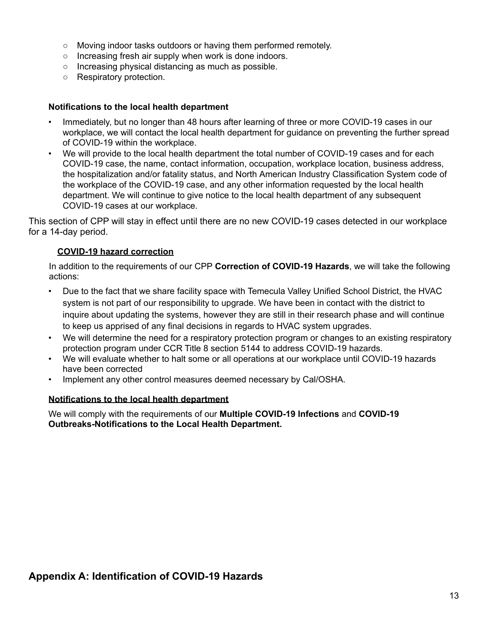- Moving indoor tasks outdoors or having them performed remotely.
- Increasing fresh air supply when work is done indoors.
- Increasing physical distancing as much as possible.
- Respiratory protection.

#### **Notifications to the local health department**

- Immediately, but no longer than 48 hours after learning of three or more COVID-19 cases in our workplace, we will contact the local health department for guidance on preventing the further spread of COVID-19 within the workplace.
- We will provide to the local health department the total number of COVID-19 cases and for each COVID-19 case, the name, contact information, occupation, workplace location, business address, the hospitalization and/or fatality status, and North American Industry Classification System code of the workplace of the COVID-19 case, and any other information requested by the local health department. We will continue to give notice to the local health department of any subsequent COVID-19 cases at our workplace.

This section of CPP will stay in effect until there are no new COVID-19 cases detected in our workplace for a 14-day period.

### **COVID-19 hazard correction**

In addition to the requirements of our CPP **Correction of COVID-19 Hazards**, we will take the following actions:

- Due to the fact that we share facility space with Temecula Valley Unified School District, the HVAC system is not part of our responsibility to upgrade. We have been in contact with the district to inquire about updating the systems, however they are still in their research phase and will continue to keep us apprised of any final decisions in regards to HVAC system upgrades.
- We will determine the need for a respiratory protection program or changes to an existing respiratory protection program under CCR Title 8 section 5144 to address COVID-19 hazards.
- We will evaluate whether to halt some or all operations at our workplace until COVID-19 hazards have been corrected
- Implement any other control measures deemed necessary by Cal/OSHA.

### **Notifications to the local health department**

We will comply with the requirements of our **Multiple COVID-19 Infections** and **COVID-19 Outbreaks-Notifications to the Local Health Department.**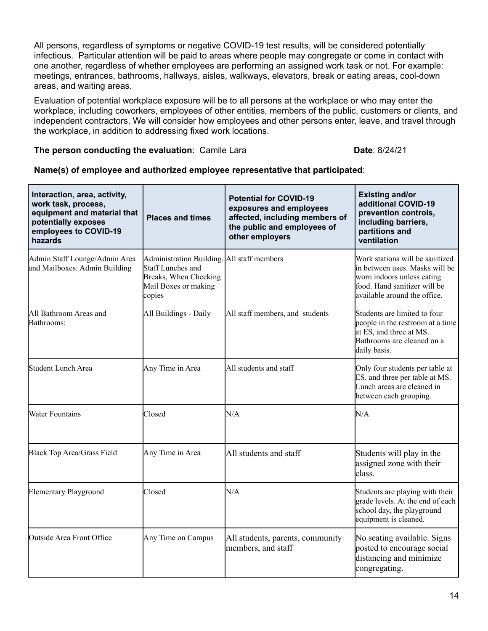All persons, regardless of symptoms or negative COVID-19 test results, will be considered potentially infectious. Particular attention will be paid to areas where people may congregate or come in contact with one another, regardless of whether employees are performing an assigned work task or not. For example: meetings, entrances, bathrooms, hallways, aisles, walkways, elevators, break or eating areas, cool-down areas, and waiting areas.

Evaluation of potential workplace exposure will be to all persons at the workplace or who may enter the workplace, including coworkers, employees of other entities, members of the public, customers or clients, and independent contractors. We will consider how employees and other persons enter, leave, and travel through the workplace, in addition to addressing fixed work locations.

#### **The person conducting the evaluation: Camile Lara <b>Date: 8/24/21**

#### **Name(s) of employee and authorized employee representative that participated**:

| Interaction, area, activity,<br>work task, process,<br>equipment and material that<br>potentially exposes<br>employees to COVID-19<br>hazards | <b>Places and times</b>                                                                                                           | <b>Potential for COVID-19</b><br>exposures and employees<br>affected, including members of<br>the public and employees of<br>other employers | <b>Existing and/or</b><br>additional COVID-19<br>prevention controls,<br>including barriers,<br>partitions and<br>ventilation                                   |
|-----------------------------------------------------------------------------------------------------------------------------------------------|-----------------------------------------------------------------------------------------------------------------------------------|----------------------------------------------------------------------------------------------------------------------------------------------|-----------------------------------------------------------------------------------------------------------------------------------------------------------------|
| Admin Staff Lounge/Admin Area<br>and Mailboxes: Admin Building                                                                                | Administration Building. All staff members<br><b>Staff Lunches and</b><br>Breaks, When Checking<br>Mail Boxes or making<br>copies |                                                                                                                                              | Work stations will be sanitized<br>in between uses. Masks will be<br>worn indoors unless eating<br>food. Hand sanitizer will be<br>available around the office. |
| All Bathroom Areas and<br>Bathrooms:                                                                                                          | All Buildings - Daily                                                                                                             | All staff members, and students                                                                                                              | Students are limited to four<br>people in the restroom at a time<br>at ES, and three at MS.<br>Bathrooms are cleaned on a<br>daily basis.                       |
| Student Lunch Area                                                                                                                            | Any Time in Area                                                                                                                  | All students and staff                                                                                                                       | Only four students per table at<br>ES, and three per table at MS.<br>Lunch areas are cleaned in<br>between each grouping.                                       |
| <b>Water Fountains</b>                                                                                                                        | Closed                                                                                                                            | N/A                                                                                                                                          | N/A                                                                                                                                                             |
| Black Top Area/Grass Field                                                                                                                    | Any Time in Area                                                                                                                  | All students and staff                                                                                                                       | Students will play in the<br>assigned zone with their<br>class.                                                                                                 |
| <b>Elementary Playground</b>                                                                                                                  | Closed                                                                                                                            | N/A                                                                                                                                          | Students are playing with their<br>grade levels. At the end of each<br>school day, the playground<br>equipment is cleaned.                                      |
| Outside Area Front Office                                                                                                                     | Any Time on Campus                                                                                                                | All students, parents, community<br>members, and staff                                                                                       | No seating available. Signs<br>posted to encourage social<br>distancing and minimize<br>congregating.                                                           |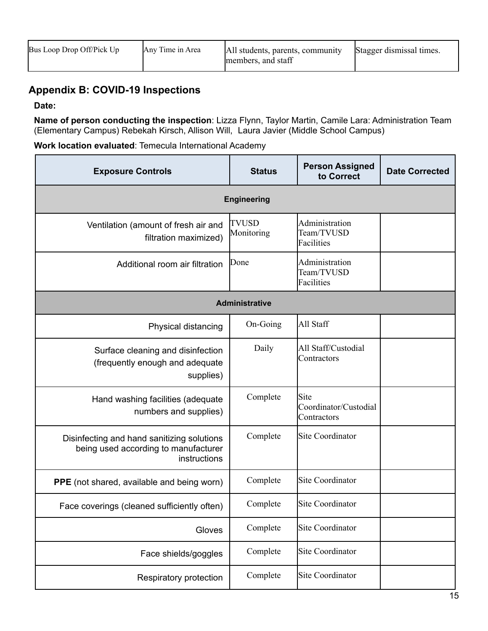| Bus Loop Drop Off/Pick Up | Any Time in Area | All students, parents, community<br>members, and staff | Stagger dismissal times. |
|---------------------------|------------------|--------------------------------------------------------|--------------------------|
|---------------------------|------------------|--------------------------------------------------------|--------------------------|

# **Appendix B: COVID-19 Inspections**

**Date:**

**Name of person conducting the inspection**: Lizza Flynn, Taylor Martin, Camile Lara: Administration Team (Elementary Campus) Rebekah Kirsch, Allison Will, Laura Javier (Middle School Campus)

**Work location evaluated**: Temecula International Academy

| <b>Exposure Controls</b>                                                                           | <b>Status</b>              | <b>Person Assigned</b><br>to Correct         | <b>Date Corrected</b> |  |
|----------------------------------------------------------------------------------------------------|----------------------------|----------------------------------------------|-----------------------|--|
| <b>Engineering</b>                                                                                 |                            |                                              |                       |  |
| Ventilation (amount of fresh air and<br>filtration maximized)                                      | <b>TVUSD</b><br>Monitoring | Administration<br>Team/TVUSD<br>Facilities   |                       |  |
| Additional room air filtration                                                                     | Done                       | Administration<br>Team/TVUSD<br>Facilities   |                       |  |
|                                                                                                    | <b>Administrative</b>      |                                              |                       |  |
| Physical distancing                                                                                | On-Going                   | All Staff                                    |                       |  |
| Surface cleaning and disinfection<br>(frequently enough and adequate<br>supplies)                  | Daily                      | All Staff/Custodial<br>Contractors           |                       |  |
| Hand washing facilities (adequate<br>numbers and supplies)                                         | Complete                   | Site<br>Coordinator/Custodial<br>Contractors |                       |  |
| Disinfecting and hand sanitizing solutions<br>being used according to manufacturer<br>instructions | Complete                   | <b>Site Coordinator</b>                      |                       |  |
| PPE (not shared, available and being worn)                                                         | Complete                   | Site Coordinator                             |                       |  |
| Face coverings (cleaned sufficiently often)                                                        | Complete                   | <b>Site Coordinator</b>                      |                       |  |
| Gloves                                                                                             | Complete                   | Site Coordinator                             |                       |  |
| Face shields/goggles                                                                               | Complete                   | Site Coordinator                             |                       |  |
| Respiratory protection                                                                             | Complete                   | Site Coordinator                             |                       |  |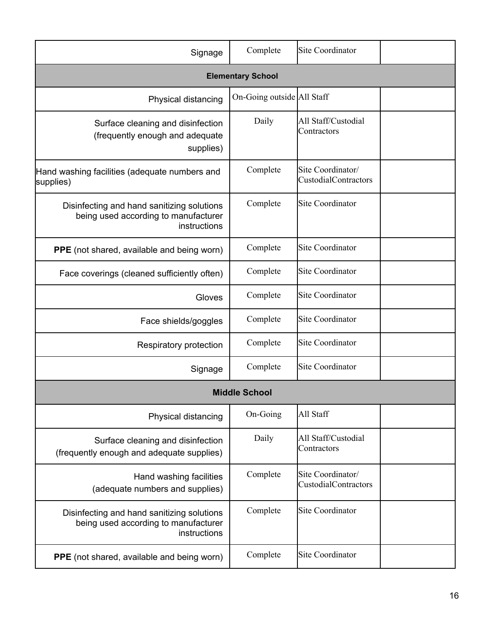| Signage                                                                                            | Complete                   | Site Coordinator                                 |  |  |
|----------------------------------------------------------------------------------------------------|----------------------------|--------------------------------------------------|--|--|
| <b>Elementary School</b>                                                                           |                            |                                                  |  |  |
| Physical distancing                                                                                | On-Going outside All Staff |                                                  |  |  |
| Surface cleaning and disinfection<br>(frequently enough and adequate<br>supplies)                  | Daily                      | All Staff/Custodial<br>Contractors               |  |  |
| Hand washing facilities (adequate numbers and<br>supplies)                                         | Complete                   | Site Coordinator/<br>CustodialContractors        |  |  |
| Disinfecting and hand sanitizing solutions<br>being used according to manufacturer<br>instructions | Complete                   | Site Coordinator                                 |  |  |
| PPE (not shared, available and being worn)                                                         | Complete                   | Site Coordinator                                 |  |  |
| Face coverings (cleaned sufficiently often)                                                        | Complete                   | <b>Site Coordinator</b>                          |  |  |
| Gloves                                                                                             | Complete                   | <b>Site Coordinator</b>                          |  |  |
| Face shields/goggles                                                                               | Complete                   | <b>Site Coordinator</b>                          |  |  |
| Respiratory protection                                                                             | Complete                   | <b>Site Coordinator</b>                          |  |  |
| Signage                                                                                            | Complete                   | <b>Site Coordinator</b>                          |  |  |
|                                                                                                    | <b>Middle School</b>       |                                                  |  |  |
| Physical distancing                                                                                | On-Going                   | All Staff                                        |  |  |
| Surface cleaning and disinfection<br>(frequently enough and adequate supplies)                     | Daily                      | All Staff/Custodial<br>Contractors               |  |  |
| Hand washing facilities<br>(adequate numbers and supplies)                                         | Complete                   | Site Coordinator/<br><b>CustodialContractors</b> |  |  |
| Disinfecting and hand sanitizing solutions<br>being used according to manufacturer<br>instructions | Complete                   | Site Coordinator                                 |  |  |
| PPE (not shared, available and being worn)                                                         | Complete                   | Site Coordinator                                 |  |  |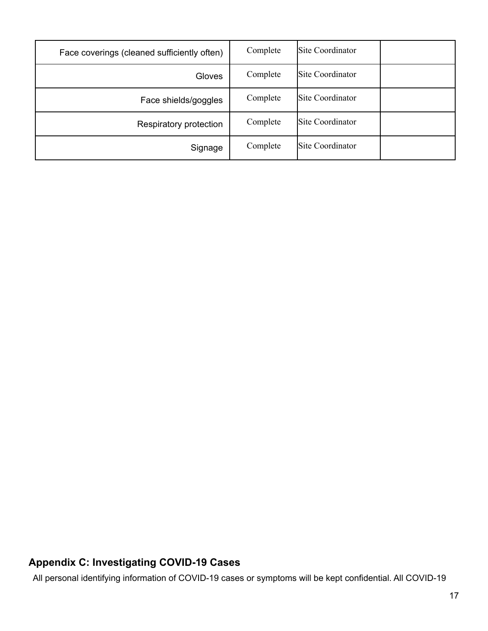| Face coverings (cleaned sufficiently often) | Complete | Site Coordinator |  |
|---------------------------------------------|----------|------------------|--|
| <b>Gloves</b>                               | Complete | Site Coordinator |  |
| Face shields/goggles                        | Complete | Site Coordinator |  |
| Respiratory protection                      | Complete | Site Coordinator |  |
| Signage                                     | Complete | Site Coordinator |  |

# **Appendix C: Investigating COVID-19 Cases**

All personal identifying information of COVID-19 cases or symptoms will be kept confidential. All COVID-19